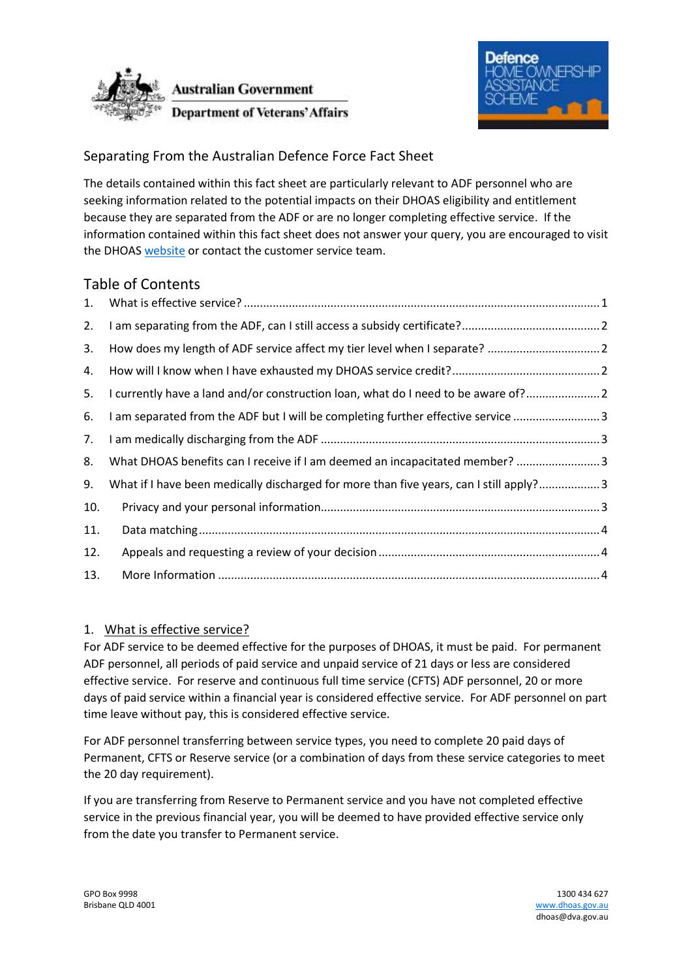



# Separating From the Australian Defence Force Fact Sheet

The details contained within this fact sheet are particularly relevant to ADF personnel who are seeking information related to the potential impacts on their DHOAS eligibility and entitlement because they are separated from the ADF or are no longer completing effective service. If the information contained within this fact sheet does not answer your query, you are encouraged to visit the DHOAS [website](http://www.dhoas.gov.au/) or contact the customer service team.

| <b>Table of Contents</b> |                                                                                         |  |
|--------------------------|-----------------------------------------------------------------------------------------|--|
| 1.                       |                                                                                         |  |
| 2.                       |                                                                                         |  |
| 3.                       |                                                                                         |  |
| 4.                       |                                                                                         |  |
| 5.                       | I currently have a land and/or construction loan, what do I need to be aware of?        |  |
| 6.                       | I am separated from the ADF but I will be completing further effective service  3       |  |
| 7.                       |                                                                                         |  |
| 8.                       | What DHOAS benefits can I receive if I am deemed an incapacitated member?  3            |  |
| 9.                       | What if I have been medically discharged for more than five years, can I still apply? 3 |  |
| 10.                      |                                                                                         |  |
| 11.                      |                                                                                         |  |
| 12.                      |                                                                                         |  |
| 13.                      |                                                                                         |  |
|                          |                                                                                         |  |

## <span id="page-0-0"></span>1. What is effective service?

For ADF service to be deemed effective for the purposes of DHOAS, it must be paid. For permanent ADF personnel, all periods of paid service and unpaid service of 21 days or less are considered effective service. For reserve and continuous full time service (CFTS) ADF personnel, 20 or more days of paid service within a financial year is considered effective service. For ADF personnel on part time leave without pay, this is considered effective service.

For ADF personnel transferring between service types, you need to complete 20 paid days of Permanent, CFTS or Reserve service (or a combination of days from these service categories to meet the 20 day requirement).

If you are transferring from Reserve to Permanent service and you have not completed effective service in the previous financial year, you will be deemed to have provided effective service only from the date you transfer to Permanent service.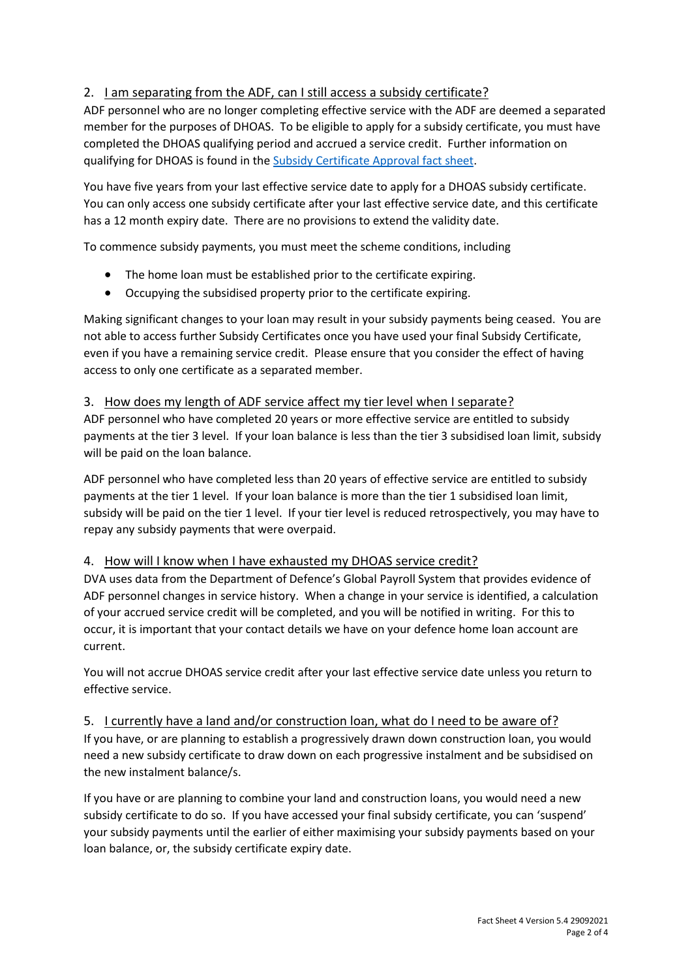# <span id="page-1-0"></span>2. I am separating from the ADF, can I still access a subsidy certificate?

ADF personnel who are no longer completing effective service with the ADF are deemed a separated member for the purposes of DHOAS. To be eligible to apply for a subsidy certificate, you must have completed the DHOAS qualifying period and accrued a service credit. Further information on qualifying for DHOAS is found in the [Subsidy Certificate Approval fact sheet.](https://www.dhoas.gov.au/forms-and-fact-sheets.html)

You have five years from your last effective service date to apply for a DHOAS subsidy certificate. You can only access one subsidy certificate after your last effective service date, and this certificate has a 12 month expiry date. There are no provisions to extend the validity date.

To commence subsidy payments, you must meet the scheme conditions, including

- The home loan must be established prior to the certificate expiring.
- Occupying the subsidised property prior to the certificate expiring.

Making significant changes to your loan may result in your subsidy payments being ceased. You are not able to access further Subsidy Certificates once you have used your final Subsidy Certificate, even if you have a remaining service credit. Please ensure that you consider the effect of having access to only one certificate as a separated member.

### <span id="page-1-1"></span>3. How does my length of ADF service affect my tier level when I separate?

ADF personnel who have completed 20 years or more effective service are entitled to subsidy payments at the tier 3 level. If your loan balance is less than the tier 3 subsidised loan limit, subsidy will be paid on the loan balance.

ADF personnel who have completed less than 20 years of effective service are entitled to subsidy payments at the tier 1 level. If your loan balance is more than the tier 1 subsidised loan limit, subsidy will be paid on the tier 1 level. If your tier level is reduced retrospectively, you may have to repay any subsidy payments that were overpaid.

#### <span id="page-1-2"></span>4. How will I know when I have exhausted my DHOAS service credit?

DVA uses data from the Department of Defence's Global Payroll System that provides evidence of ADF personnel changes in service history. When a change in your service is identified, a calculation of your accrued service credit will be completed, and you will be notified in writing. For this to occur, it is important that your contact details we have on your defence home loan account are current.

You will not accrue DHOAS service credit after your last effective service date unless you return to effective service.

<span id="page-1-3"></span>5. I currently have a land and/or construction loan, what do I need to be aware of?

If you have, or are planning to establish a progressively drawn down construction loan, you would need a new subsidy certificate to draw down on each progressive instalment and be subsidised on the new instalment balance/s.

If you have or are planning to combine your land and construction loans, you would need a new subsidy certificate to do so. If you have accessed your final subsidy certificate, you can 'suspend' your subsidy payments until the earlier of either maximising your subsidy payments based on your loan balance, or, the subsidy certificate expiry date.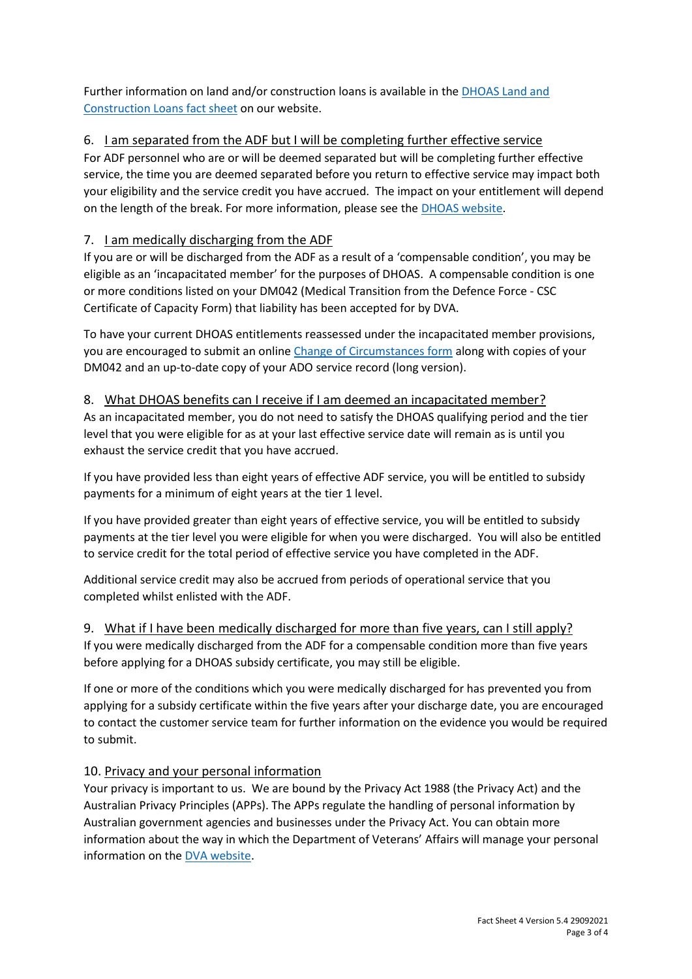Further information on land and/or construction loans is available in the [DHOAS Land and](https://www.dhoas.gov.au/forms-and-fact-sheets.html)  [Construction Loans fact sheet](https://www.dhoas.gov.au/forms-and-fact-sheets.html) on our website.

# <span id="page-2-0"></span>6. I am separated from the ADF but I will be completing further effective service

For ADF personnel who are or will be deemed separated but will be completing further effective service, the time you are deemed separated before you return to effective service may impact both your eligibility and the service credit you have accrued. The impact on your entitlement will depend on the length of the break. For more information, please see the [DHOAS website.](https://www.dhoas.gov.au/breaks-in-servicerejoining-adf.html)

## <span id="page-2-1"></span>7. I am medically discharging from the ADF

If you are or will be discharged from the ADF as a result of a 'compensable condition', you may be eligible as an 'incapacitated member' for the purposes of DHOAS. A compensable condition is one or more conditions listed on your DM042 (Medical Transition from the Defence Force - CSC Certificate of Capacity Form) that liability has been accepted for by DVA.

To have your current DHOAS entitlements reassessed under the incapacitated member provisions, you are encouraged to submit an online [Change of Circumstances form](https://www.dhoas.gov.au/forms-and-fact-sheets.html) along with copies of your DM042 and an up-to-date copy of your ADO service record (long version).

## <span id="page-2-2"></span>8. What DHOAS benefits can I receive if I am deemed an incapacitated member?

As an incapacitated member, you do not need to satisfy the DHOAS qualifying period and the tier level that you were eligible for as at your last effective service date will remain as is until you exhaust the service credit that you have accrued.

If you have provided less than eight years of effective ADF service, you will be entitled to subsidy payments for a minimum of eight years at the tier 1 level.

If you have provided greater than eight years of effective service, you will be entitled to subsidy payments at the tier level you were eligible for when you were discharged. You will also be entitled to service credit for the total period of effective service you have completed in the ADF.

Additional service credit may also be accrued from periods of operational service that you completed whilst enlisted with the ADF.

#### <span id="page-2-3"></span>9. What if I have been medically discharged for more than five years, can I still apply?

If you were medically discharged from the ADF for a compensable condition more than five years before applying for a DHOAS subsidy certificate, you may still be eligible.

If one or more of the conditions which you were medically discharged for has prevented you from applying for a subsidy certificate within the five years after your discharge date, you are encouraged to contact the customer service team for further information on the evidence you would be required to submit.

## <span id="page-2-4"></span>10. Privacy and your personal information

Your privacy is important to us. We are bound by the Privacy Act 1988 (the Privacy Act) and the Australian Privacy Principles (APPs). The APPs regulate the handling of personal information by Australian government agencies and businesses under the Privacy Act. You can obtain more information about the way in which the Department of Veterans' Affairs will manage your personal information on the [DVA website.](https://www.dva.gov.au/privacy-policy)